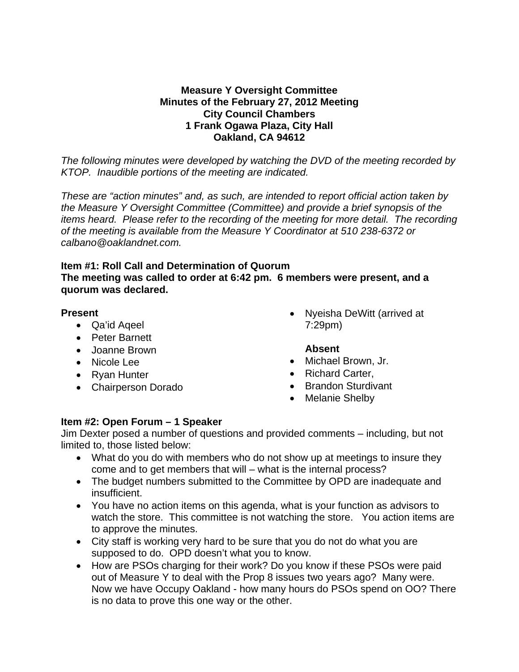#### **Measure Y Oversight Committee Minutes of the February 27, 2012 Meeting City Council Chambers 1 Frank Ogawa Plaza, City Hall Oakland, CA 94612**

*The following minutes were developed by watching the DVD of the meeting recorded by KTOP. Inaudible portions of the meeting are indicated.* 

*These are "action minutes" and, as such, are intended to report official action taken by the Measure Y Oversight Committee (Committee) and provide a brief synopsis of the items heard. Please refer to the recording of the meeting for more detail. The recording of the meeting is available from the Measure Y Coordinator at 510 238-6372 or calbano@oaklandnet.com.* 

#### **Item #1: Roll Call and Determination of Quorum The meeting was called to order at 6:42 pm. 6 members were present, and a quorum was declared.**

### **Present**

- Qa'id Aqeel
- Peter Barnett
- Joanne Brown
- Nicole Lee
- Ryan Hunter
- Chairperson Dorado

• Nyeisha DeWitt (arrived at 7:29pm)

# **Absent**

- Michael Brown, Jr.
- Richard Carter,
- Brandon Sturdivant
- Melanie Shelby

# **Item #2: Open Forum – 1 Speaker**

Jim Dexter posed a number of questions and provided comments – including, but not limited to, those listed below:

- What do you do with members who do not show up at meetings to insure they come and to get members that will – what is the internal process?
- The budget numbers submitted to the Committee by OPD are inadequate and insufficient.
- You have no action items on this agenda, what is your function as advisors to watch the store. This committee is not watching the store. You action items are to approve the minutes.
- City staff is working very hard to be sure that you do not do what you are supposed to do. OPD doesn't what you to know.
- How are PSOs charging for their work? Do you know if these PSOs were paid out of Measure Y to deal with the Prop 8 issues two years ago? Many were. Now we have Occupy Oakland - how many hours do PSOs spend on OO? There is no data to prove this one way or the other.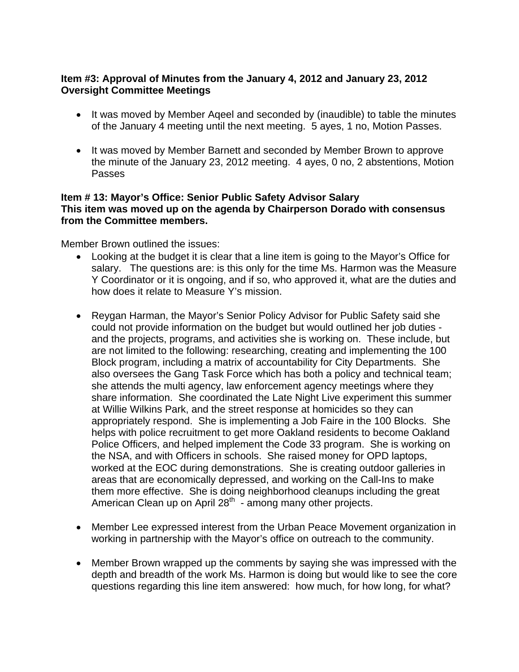### **Item #3: Approval of Minutes from the January 4, 2012 and January 23, 2012 Oversight Committee Meetings**

- It was moved by Member Aqeel and seconded by (inaudible) to table the minutes of the January 4 meeting until the next meeting. 5 ayes, 1 no, Motion Passes.
- It was moved by Member Barnett and seconded by Member Brown to approve the minute of the January 23, 2012 meeting. 4 ayes, 0 no, 2 abstentions, Motion Passes

#### **Item # 13: Mayor's Office: Senior Public Safety Advisor Salary This item was moved up on the agenda by Chairperson Dorado with consensus from the Committee members.**

Member Brown outlined the issues:

- Looking at the budget it is clear that a line item is going to the Mayor's Office for salary. The questions are: is this only for the time Ms. Harmon was the Measure Y Coordinator or it is ongoing, and if so, who approved it, what are the duties and how does it relate to Measure Y's mission.
- Reygan Harman, the Mayor's Senior Policy Advisor for Public Safety said she could not provide information on the budget but would outlined her job duties and the projects, programs, and activities she is working on. These include, but are not limited to the following: researching, creating and implementing the 100 Block program, including a matrix of accountability for City Departments. She also oversees the Gang Task Force which has both a policy and technical team; she attends the multi agency, law enforcement agency meetings where they share information. She coordinated the Late Night Live experiment this summer at Willie Wilkins Park, and the street response at homicides so they can appropriately respond. She is implementing a Job Faire in the 100 Blocks. She helps with police recruitment to get more Oakland residents to become Oakland Police Officers, and helped implement the Code 33 program. She is working on the NSA, and with Officers in schools. She raised money for OPD laptops, worked at the EOC during demonstrations. She is creating outdoor galleries in areas that are economically depressed, and working on the Call-Ins to make them more effective. She is doing neighborhood cleanups including the great American Clean up on April  $28<sup>th</sup>$  - among many other projects.
- Member Lee expressed interest from the Urban Peace Movement organization in working in partnership with the Mayor's office on outreach to the community.
- Member Brown wrapped up the comments by saying she was impressed with the depth and breadth of the work Ms. Harmon is doing but would like to see the core questions regarding this line item answered: how much, for how long, for what?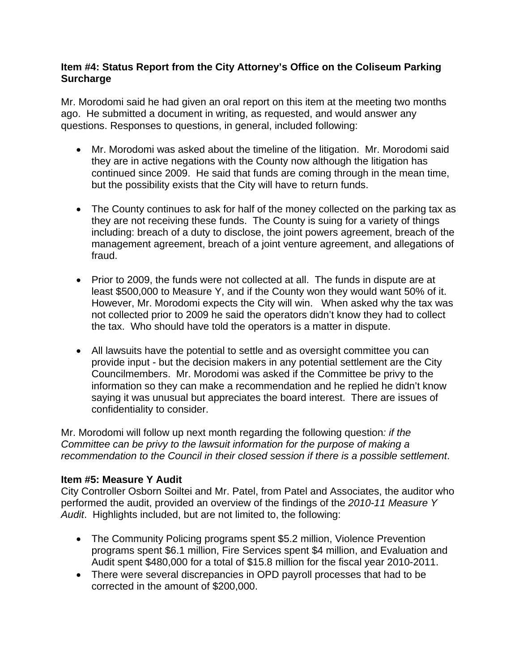### **Item #4: Status Report from the City Attorney's Office on the Coliseum Parking Surcharge**

Mr. Morodomi said he had given an oral report on this item at the meeting two months ago. He submitted a document in writing, as requested, and would answer any questions. Responses to questions, in general, included following:

- Mr. Morodomi was asked about the timeline of the litigation. Mr. Morodomi said they are in active negations with the County now although the litigation has continued since 2009. He said that funds are coming through in the mean time, but the possibility exists that the City will have to return funds.
- The County continues to ask for half of the money collected on the parking tax as they are not receiving these funds. The County is suing for a variety of things including: breach of a duty to disclose, the joint powers agreement, breach of the management agreement, breach of a joint venture agreement, and allegations of fraud.
- Prior to 2009, the funds were not collected at all. The funds in dispute are at least \$500,000 to Measure Y, and if the County won they would want 50% of it. However, Mr. Morodomi expects the City will win. When asked why the tax was not collected prior to 2009 he said the operators didn't know they had to collect the tax. Who should have told the operators is a matter in dispute.
- All lawsuits have the potential to settle and as oversight committee you can provide input - but the decision makers in any potential settlement are the City Councilmembers. Mr. Morodomi was asked if the Committee be privy to the information so they can make a recommendation and he replied he didn't know saying it was unusual but appreciates the board interest. There are issues of confidentiality to consider.

Mr. Morodomi will follow up next month regarding the following question*: if the Committee can be privy to the lawsuit information for the purpose of making a recommendation to the Council in their closed session if there is a possible settlement*.

# **Item #5: Measure Y Audit**

City Controller Osborn Soiltei and Mr. Patel, from Patel and Associates, the auditor who performed the audit, provided an overview of the findings of the *2010-11 Measure Y Audit*. Highlights included, but are not limited to, the following:

- The Community Policing programs spent \$5.2 million, Violence Prevention programs spent \$6.1 million, Fire Services spent \$4 million, and Evaluation and Audit spent \$480,000 for a total of \$15.8 million for the fiscal year 2010-2011.
- There were several discrepancies in OPD payroll processes that had to be corrected in the amount of \$200,000.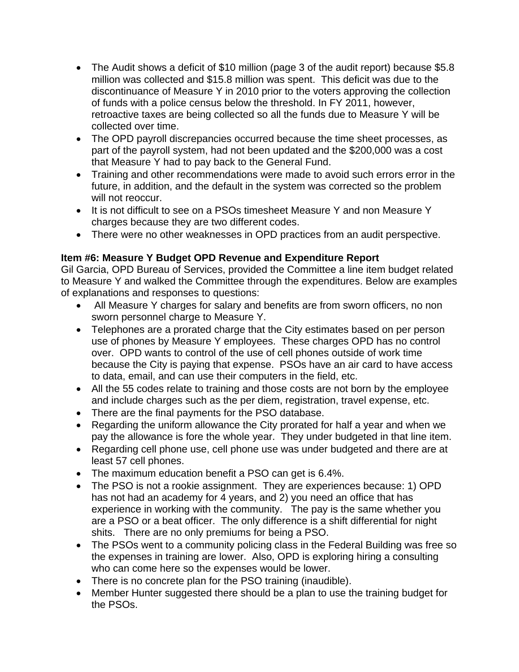- The Audit shows a deficit of \$10 million (page 3 of the audit report) because \$5.8 million was collected and \$15.8 million was spent. This deficit was due to the discontinuance of Measure Y in 2010 prior to the voters approving the collection of funds with a police census below the threshold. In FY 2011, however, retroactive taxes are being collected so all the funds due to Measure Y will be collected over time.
- The OPD payroll discrepancies occurred because the time sheet processes, as part of the payroll system, had not been updated and the \$200,000 was a cost that Measure Y had to pay back to the General Fund.
- Training and other recommendations were made to avoid such errors error in the future, in addition, and the default in the system was corrected so the problem will not reoccur.
- It is not difficult to see on a PSOs timesheet Measure Y and non Measure Y charges because they are two different codes.
- There were no other weaknesses in OPD practices from an audit perspective.

# **Item #6: Measure Y Budget OPD Revenue and Expenditure Report**

Gil Garcia, OPD Bureau of Services, provided the Committee a line item budget related to Measure Y and walked the Committee through the expenditures. Below are examples of explanations and responses to questions:

- All Measure Y charges for salary and benefits are from sworn officers, no non sworn personnel charge to Measure Y.
- Telephones are a prorated charge that the City estimates based on per person use of phones by Measure Y employees. These charges OPD has no control over. OPD wants to control of the use of cell phones outside of work time because the City is paying that expense. PSOs have an air card to have access to data, email, and can use their computers in the field, etc.
- All the 55 codes relate to training and those costs are not born by the employee and include charges such as the per diem, registration, travel expense, etc.
- There are the final payments for the PSO database.
- Regarding the uniform allowance the City prorated for half a year and when we pay the allowance is fore the whole year. They under budgeted in that line item.
- Regarding cell phone use, cell phone use was under budgeted and there are at least 57 cell phones.
- The maximum education benefit a PSO can get is 6.4%.
- The PSO is not a rookie assignment. They are experiences because: 1) OPD has not had an academy for  $\frac{3}{4}$  years, and 2) you need an office that has experience in working with the community. The pay is the same whether you are a PSO or a beat officer. The only difference is a shift differential for night shits. There are no only premiums for being a PSO.
- The PSOs went to a community policing class in the Federal Building was free so the expenses in training are lower. Also, OPD is exploring hiring a consulting who can come here so the expenses would be lower.
- There is no concrete plan for the PSO training (inaudible).
- Member Hunter suggested there should be a plan to use the training budget for the PSOs.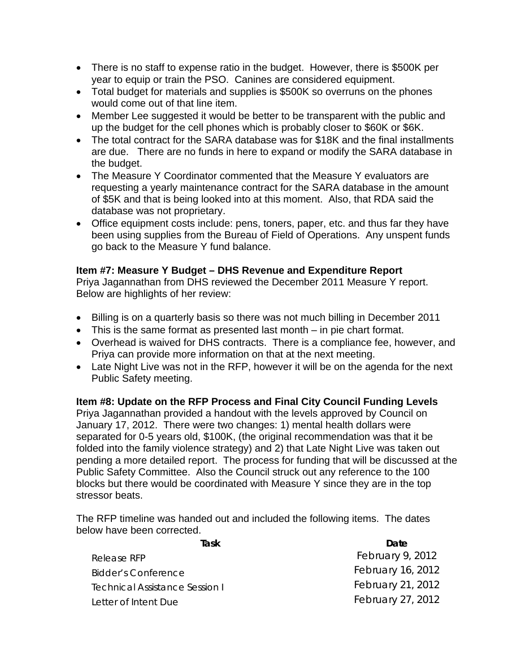- There is no staff to expense ratio in the budget. However, there is \$500K per year to equip or train the PSO. Canines are considered equipment.
- Total budget for materials and supplies is \$500K so overruns on the phones would come out of that line item.
- Member Lee suggested it would be better to be transparent with the public and up the budget for the cell phones which is probably closer to \$60K or \$6K.
- The total contract for the SARA database was for \$18K and the final installments are due. There are no funds in here to expand or modify the SARA database in the budget.
- The Measure Y Coordinator commented that the Measure Y evaluators are requesting a yearly maintenance contract for the SARA database in the amount of \$5K and that is being looked into at this moment. Also, that RDA said the database was not proprietary.
- Office equipment costs include: pens, toners, paper, etc. and thus far they have been using supplies from the Bureau of Field of Operations. Any unspent funds go back to the Measure Y fund balance.

### **Item #7: Measure Y Budget – DHS Revenue and Expenditure Report**

Priya Jagannathan from DHS reviewed the December 2011 Measure Y report. Below are highlights of her review:

- Billing is on a quarterly basis so there was not much billing in December 2011
- This is the same format as presented last month in pie chart format.
- Overhead is waived for DHS contracts. There is a compliance fee, however, and Priya can provide more information on that at the next meeting.
- Late Night Live was not in the RFP, however it will be on the agenda for the next Public Safety meeting.

# **Item #8: Update on the RFP Process and Final City Council Funding Levels**

Priya Jagannathan provided a handout with the levels approved by Council on January 17, 2012. There were two changes: 1) mental health dollars were separated for 0-5 years old, \$100K, (the original recommendation was that it be folded into the family violence strategy) and 2) that Late Night Live was taken out pending a more detailed report. The process for funding that will be discussed at the Public Safety Committee. Also the Council struck out any reference to the 100 blocks but there would be coordinated with Measure Y since they are in the top stressor beats.

The RFP timeline was handed out and included the following items. The dates below have been corrected.

| Task                                  | Date              |
|---------------------------------------|-------------------|
| Release RFP                           | February 9, 2012  |
| Bidder's Conference                   | February 16, 2012 |
| <b>Technical Assistance Session I</b> | February 21, 2012 |
| Letter of Intent Due                  | February 27, 2012 |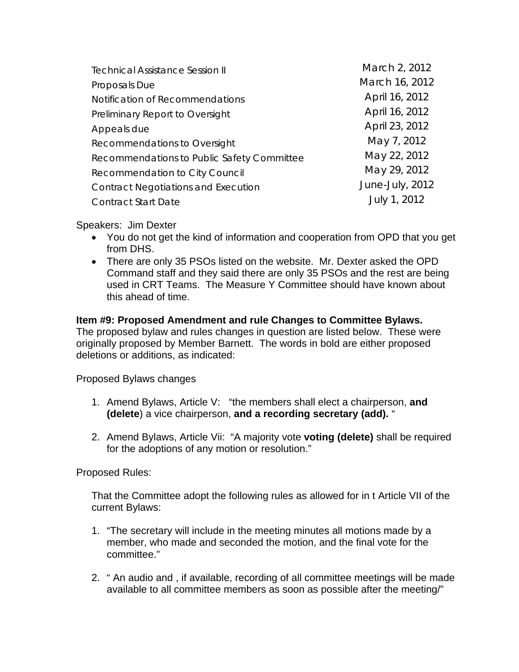| March 2, 2012   |
|-----------------|
| March 16, 2012  |
| April 16, 2012  |
| April 16, 2012  |
| April 23, 2012  |
| May 7, 2012     |
| May 22, 2012    |
| May 29, 2012    |
| June-July, 2012 |
| July 1, 2012    |
|                 |

### Speakers: Jim Dexter

- You do not get the kind of information and cooperation from OPD that you get from DHS.
- There are only 35 PSOs listed on the website. Mr. Dexter asked the OPD Command staff and they said there are only 35 PSOs and the rest are being used in CRT Teams. The Measure Y Committee should have known about this ahead of time.

# **Item #9: Proposed Amendment and rule Changes to Committee Bylaws.**

The proposed bylaw and rules changes in question are listed below. These were originally proposed by Member Barnett. The words in bold are either proposed deletions or additions, as indicated:

Proposed Bylaws changes

- 1. Amend Bylaws, Article V: "the members shall elect a chairperson, **and (delete**) a vice chairperson, **and a recording secretary (add).** "
- 2. Amend Bylaws, Article Vii: "A majority vote **voting (delete)** shall be required for the adoptions of any motion or resolution."

Proposed Rules:

That the Committee adopt the following rules as allowed for in t Article VII of the current Bylaws:

- 1. "The secretary will include in the meeting minutes all motions made by a member, who made and seconded the motion, and the final vote for the committee."
- 2. " An audio and , if available, recording of all committee meetings will be made available to all committee members as soon as possible after the meeting/"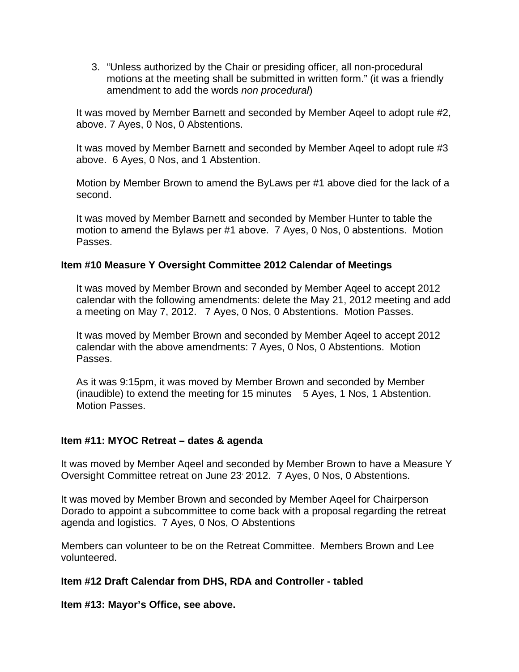3. "Unless authorized by the Chair or presiding officer, all non-procedural motions at the meeting shall be submitted in written form." (it was a friendly amendment to add the words *non procedural*)

It was moved by Member Barnett and seconded by Member Aqeel to adopt rule #2, above. 7 Ayes, 0 Nos, 0 Abstentions.

It was moved by Member Barnett and seconded by Member Aqeel to adopt rule #3 above. 6 Ayes, 0 Nos, and 1 Abstention.

Motion by Member Brown to amend the ByLaws per #1 above died for the lack of a second.

It was moved by Member Barnett and seconded by Member Hunter to table the motion to amend the Bylaws per #1 above. 7 Ayes, 0 Nos, 0 abstentions. Motion Passes.

### **Item #10 Measure Y Oversight Committee 2012 Calendar of Meetings**

It was moved by Member Brown and seconded by Member Aqeel to accept 2012 calendar with the following amendments: delete the May 21, 2012 meeting and add a meeting on May 7, 2012. 7 Ayes, 0 Nos, 0 Abstentions. Motion Passes.

It was moved by Member Brown and seconded by Member Aqeel to accept 2012 calendar with the above amendments: 7 Ayes, 0 Nos, 0 Abstentions. Motion Passes.

As it was 9:15pm, it was moved by Member Brown and seconded by Member (inaudible) to extend the meeting for 15 minutes 5 Ayes, 1 Nos, 1 Abstention. Motion Passes.

#### **Item #11: MYOC Retreat – dates & agenda**

It was moved by Member Aqeel and seconded by Member Brown to have a Measure Y Oversight Committee retreat on June 23<sup>,</sup> 2012. 7 Ayes, 0 Nos, 0 Abstentions.

It was moved by Member Brown and seconded by Member Aqeel for Chairperson Dorado to appoint a subcommittee to come back with a proposal regarding the retreat agenda and logistics. 7 Ayes, 0 Nos, O Abstentions

Members can volunteer to be on the Retreat Committee. Members Brown and Lee volunteered.

#### **Item #12 Draft Calendar from DHS, RDA and Controller - tabled**

**Item #13: Mayor's Office, see above.**